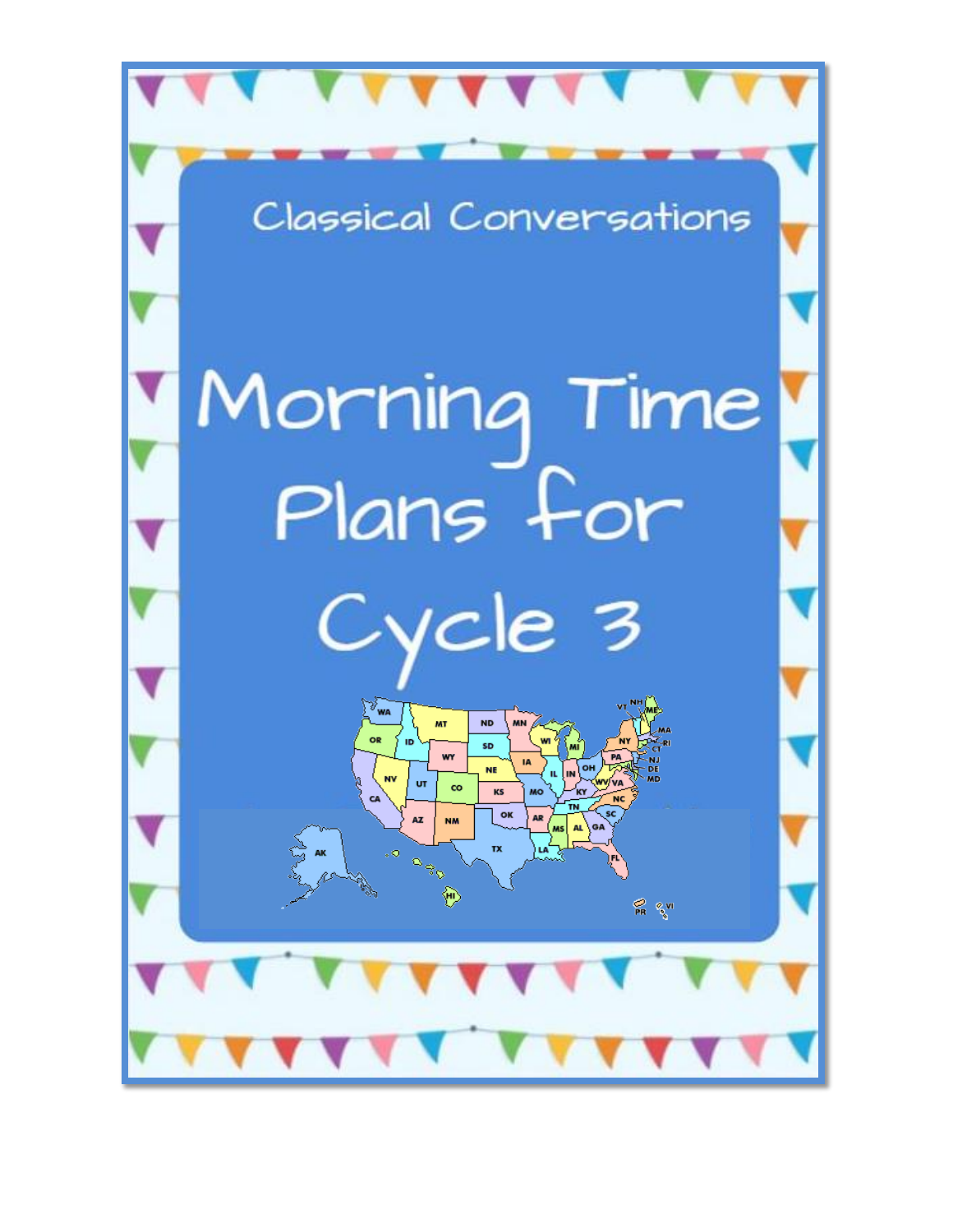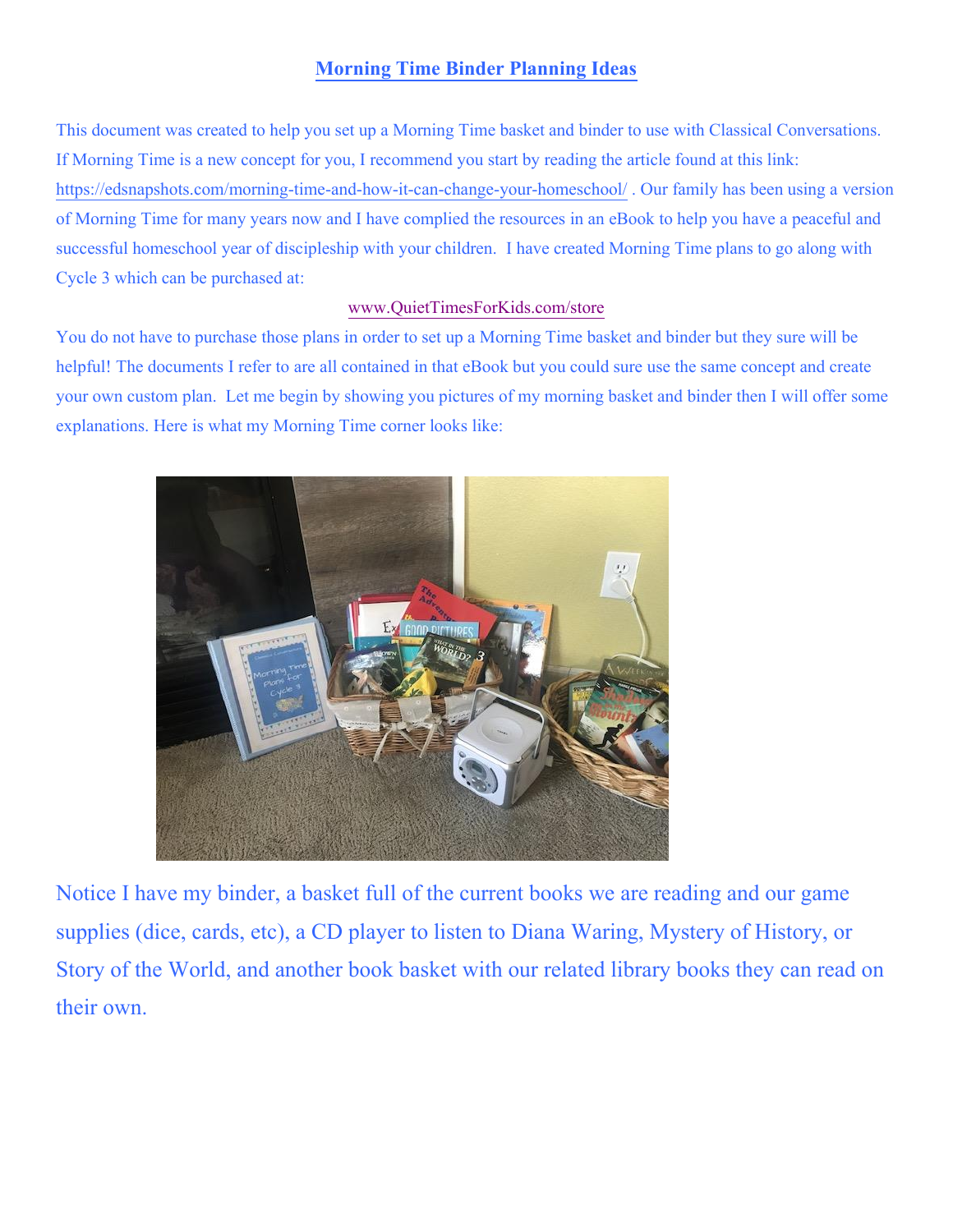#### **Morning Time Binder Planning Ideas**

This document was created to help you set up a Morning Time basket and binder to use with Classical Conversations. If Morning Time is a new concept for you, I recommend you start by reading the article found at this link: <https://edsnapshots.com/morning-time-and-how-it-can-change-your-homeschool/> . Our family has been using a version of Morning Time for many years now and I have complied the resources in an eBook to help you have a peaceful and successful homeschool year of discipleship with your children. I have created Morning Time plans to go along with Cycle 3 which can be purchased at:

#### [www.QuietTimesForKids.com/store](http://www.quiettimesforkids.com/store)

You do not have to purchase those plans in order to set up a Morning Time basket and binder but they sure will be helpful! The documents I refer to are all contained in that eBook but you could sure use the same concept and create your own custom plan. Let me begin by showing you pictures of my morning basket and binder then I will offer some explanations. Here is what my Morning Time corner looks like:



Notice I have my binder, a basket full of the current books we are reading and our game supplies (dice, cards, etc), a CD player to listen to Diana Waring, Mystery of History, or Story of the World, and another book basket with our related library books they can read on their own.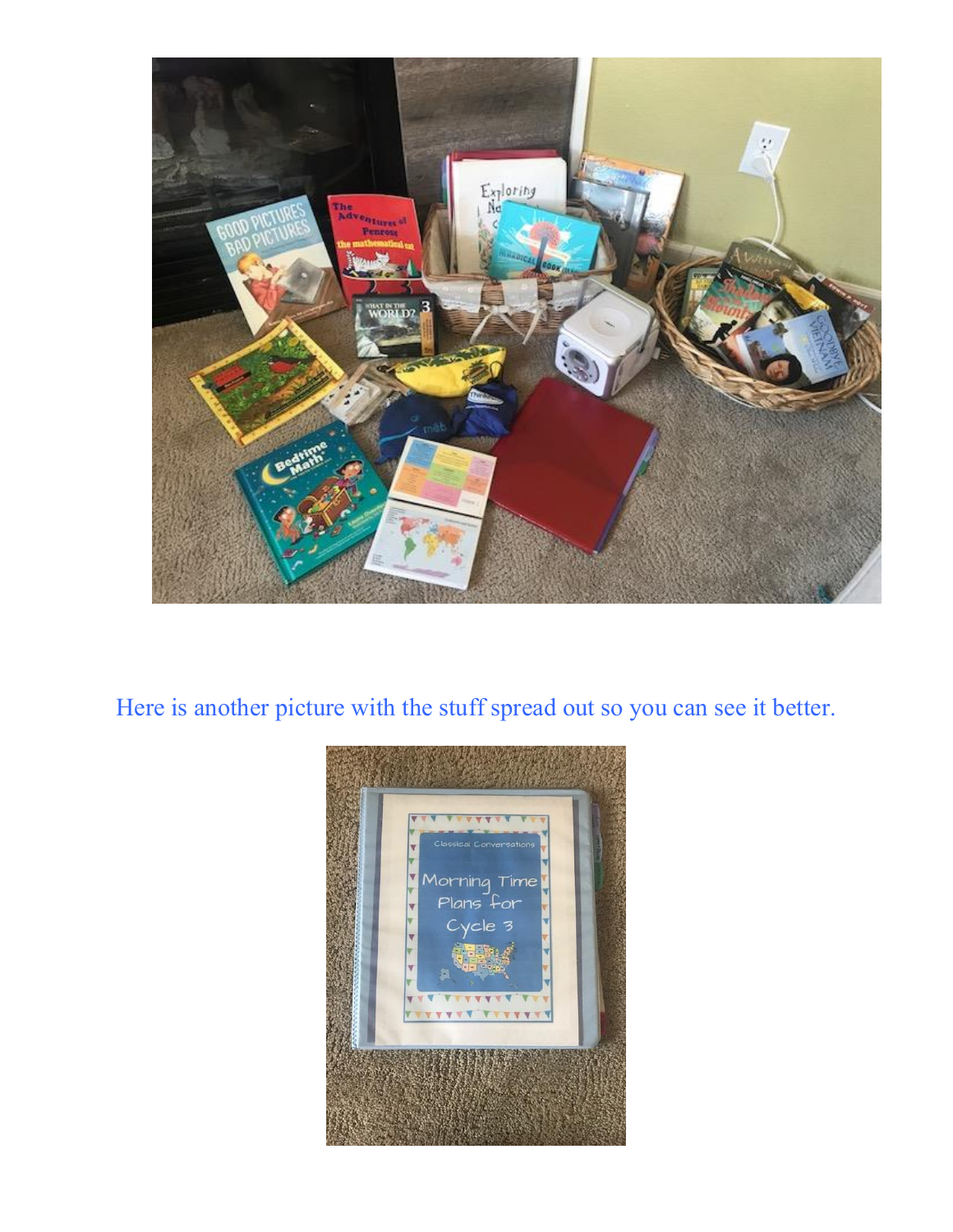

Here is another picture with the stuff spread out so you can see it better.

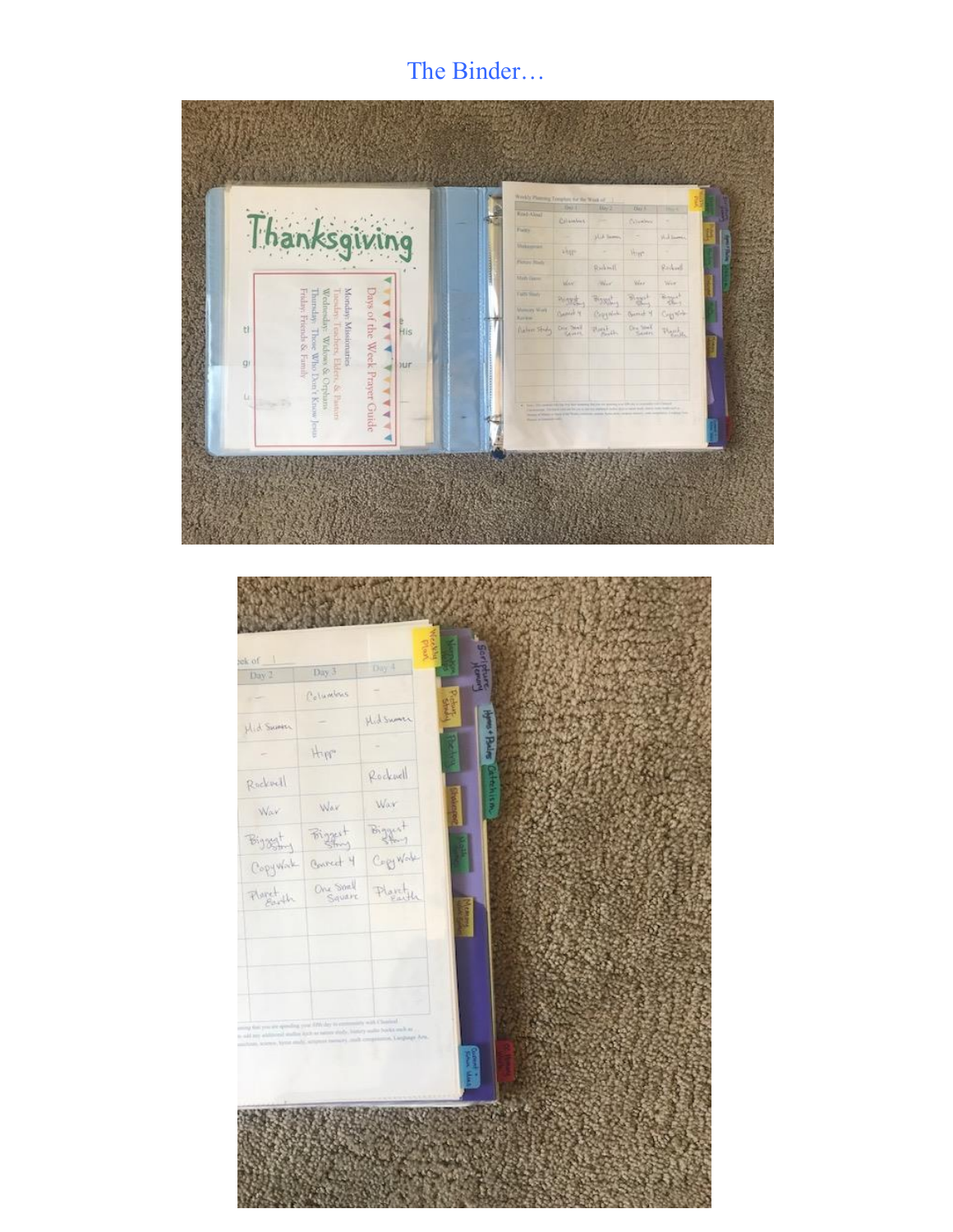## The Binder...



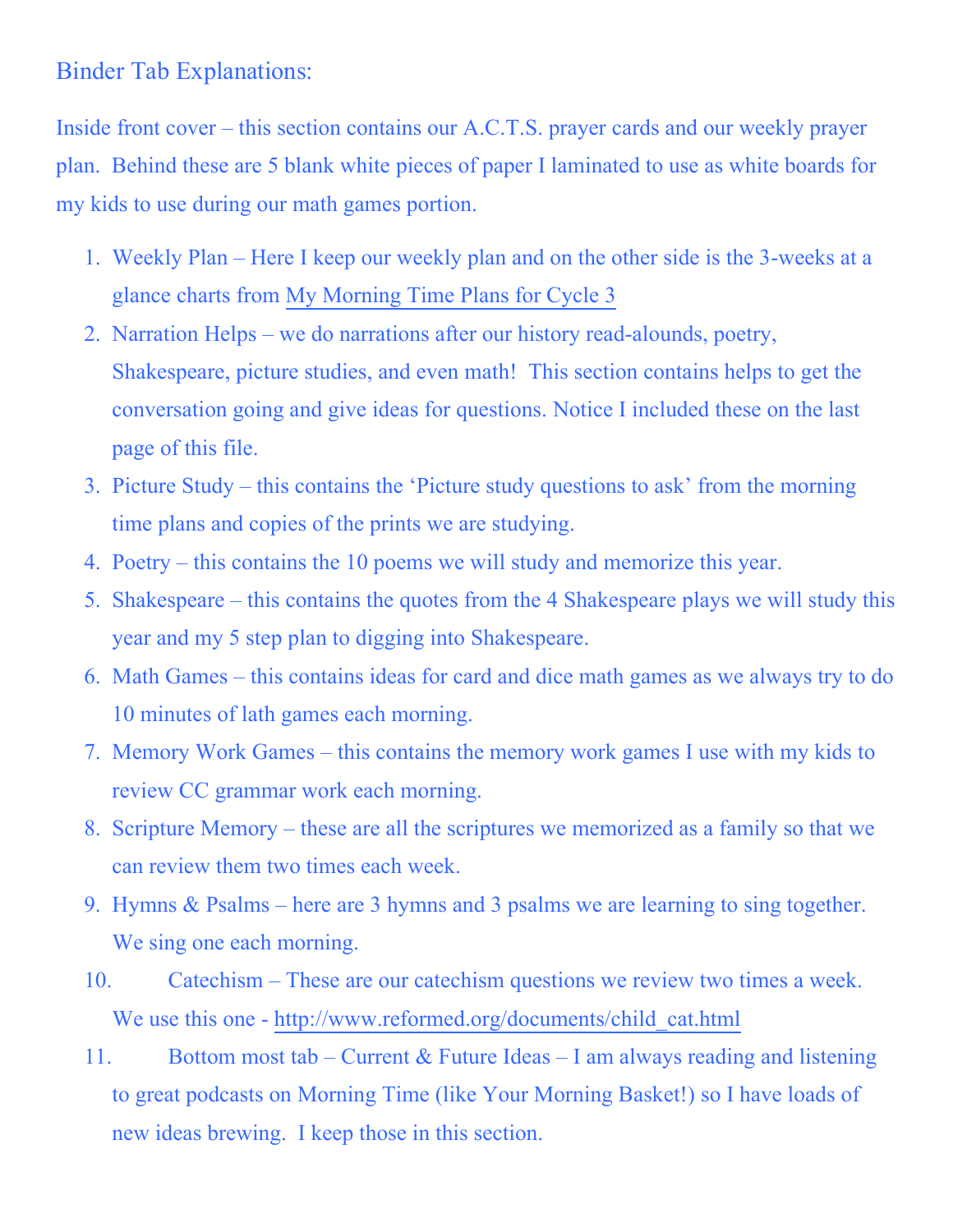### Binder Tab Explanations:

Inside front cover – this section contains our A.C.T.S. prayer cards and our weekly prayer plan. Behind these are 5 blank white pieces of paper I laminated to use as white boards for my kids to use during our math games portion.

- 1. Weekly Plan Here I keep our weekly plan and on the other side is the 3-weeks at a glance charts from [My Morning Time Plans for Cycle 3](http://www.quiettimesforkids.com/store)
- 2. Narration Helps we do narrations after our history read-alounds, poetry, Shakespeare, picture studies, and even math! This section contains helps to get the conversation going and give ideas for questions. Notice I included these on the last page of this file.
- 3. Picture Study this contains the 'Picture study questions to ask' from the morning time plans and copies of the prints we are studying.
- 4. Poetry this contains the 10 poems we will study and memorize this year.
- 5. Shakespeare this contains the quotes from the 4 Shakespeare plays we will study this year and my 5 step plan to digging into Shakespeare.
- 6. Math Games this contains ideas for card and dice math games as we always try to do 10 minutes of lath games each morning.
- 7. Memory Work Games this contains the memory work games I use with my kids to review CC grammar work each morning.
- 8. Scripture Memory these are all the scriptures we memorized as a family so that we can review them two times each week.
- 9. Hymns & Psalms here are 3 hymns and 3 psalms we are learning to sing together. We sing one each morning.
- 10. Catechism These are our catechism questions we review two times a week. We use this one - [http://www.reformed.org/documents/child\\_cat.html](http://www.reformed.org/documents/child_cat.html)
- 11. Bottom most tab Current & Future Ideas I am always reading and listening to great podcasts on Morning Time (like Your Morning Basket!) so I have loads of new ideas brewing. I keep those in this section.